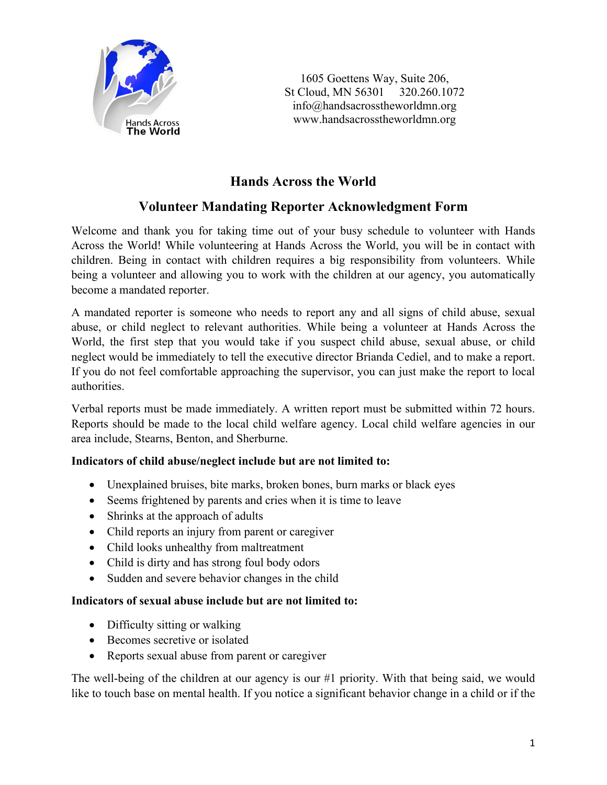

 1605 Goettens Way, Suite 206, St Cloud, MN 56301 320.260.1072 info@handsacrosstheworldmn.org www.handsacrosstheworldmn.org

## **Hands Across the World**

## **Volunteer Mandating Reporter Acknowledgment Form**

Welcome and thank you for taking time out of your busy schedule to volunteer with Hands Across the World! While volunteering at Hands Across the World, you will be in contact with children. Being in contact with children requires a big responsibility from volunteers. While being a volunteer and allowing you to work with the children at our agency, you automatically become a mandated reporter.

A mandated reporter is someone who needs to report any and all signs of child abuse, sexual abuse, or child neglect to relevant authorities. While being a volunteer at Hands Across the World, the first step that you would take if you suspect child abuse, sexual abuse, or child neglect would be immediately to tell the executive director Brianda Cediel, and to make a report. If you do not feel comfortable approaching the supervisor, you can just make the report to local authorities.

Verbal reports must be made immediately. A written report must be submitted within 72 hours. Reports should be made to the local child welfare agency. Local child welfare agencies in our area include, Stearns, Benton, and Sherburne.

## **Indicators of child abuse/neglect include but are not limited to:**

- Unexplained bruises, bite marks, broken bones, burn marks or black eyes
- Seems frightened by parents and cries when it is time to leave
- Shrinks at the approach of adults
- Child reports an injury from parent or caregiver
- Child looks unhealthy from maltreatment
- Child is dirty and has strong foul body odors
- Sudden and severe behavior changes in the child

## **Indicators of sexual abuse include but are not limited to:**

- Difficulty sitting or walking
- Becomes secretive or isolated
- Reports sexual abuse from parent or caregiver

The well-being of the children at our agency is our #1 priority. With that being said, we would like to touch base on mental health. If you notice a significant behavior change in a child or if the